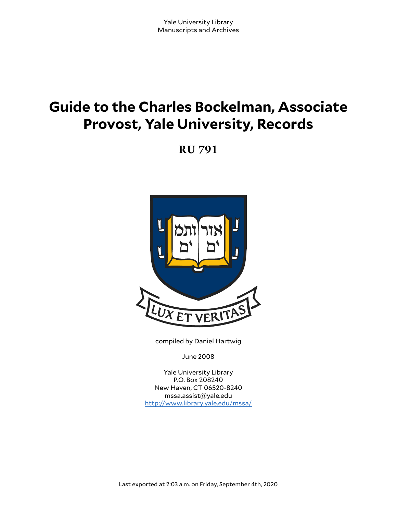# **Guide to the Charles Bockelman, Associate Provost, Yale University, Records**

**RU 791**



compiled by Daniel Hartwig

June 2008

Yale University Library P.O. Box 208240 New Haven, CT 06520-8240 mssa.assist@yale.edu <http://www.library.yale.edu/mssa/>

Last exported at 2:03 a.m. on Friday, September 4th, 2020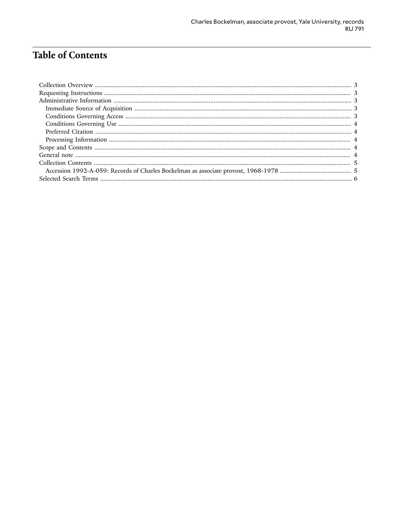# **Table of Contents**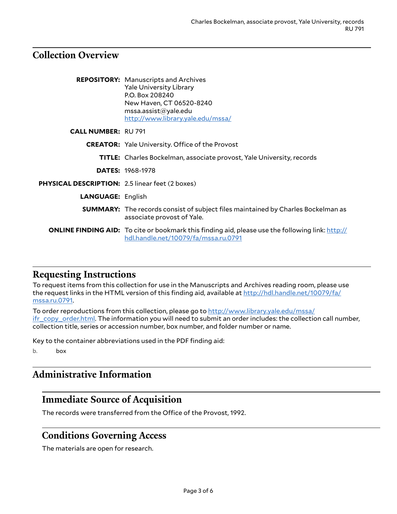#### <span id="page-2-0"></span>**Collection Overview**

|                                                        | <b>REPOSITORY:</b> Manuscripts and Archives<br><b>Yale University Library</b><br>P.O. Box 208240<br>New Haven, CT 06520-8240<br>msa. assist@yale.edu<br>http://www.library.yale.edu/mssa/ |
|--------------------------------------------------------|-------------------------------------------------------------------------------------------------------------------------------------------------------------------------------------------|
| <b>CALL NUMBER: RU 791</b>                             |                                                                                                                                                                                           |
|                                                        | <b>CREATOR:</b> Yale University. Office of the Provost                                                                                                                                    |
|                                                        | <b>TITLE:</b> Charles Bockelman, associate provost, Yale University, records                                                                                                              |
|                                                        | <b>DATES: 1968-1978</b>                                                                                                                                                                   |
| <b>PHYSICAL DESCRIPTION: 2.5 linear feet (2 boxes)</b> |                                                                                                                                                                                           |
| <b>LANGUAGE: English</b>                               |                                                                                                                                                                                           |
|                                                        | <b>SUMMARY:</b> The records consist of subject files maintained by Charles Bockelman as<br>associate provost of Yale.                                                                     |
|                                                        | <b>ONLINE FINDING AID:</b> To cite or bookmark this finding aid, please use the following link: http://<br>hdl.handle.net/10079/fa/mssa.ru.0791                                           |

## <span id="page-2-1"></span>**Requesting Instructions**

To request items from this collection for use in the Manuscripts and Archives reading room, please use the request links in the HTML version of this finding aid, available at [http://hdl.handle.net/10079/fa/](http://hdl.handle.net/10079/fa/mssa.ru.0791) [mssa.ru.0791](http://hdl.handle.net/10079/fa/mssa.ru.0791).

To order reproductions from this collection, please go to [http://www.library.yale.edu/mssa/](http://www.library.yale.edu/mssa/ifr_copy_order.html) [ifr\\_copy\\_order.html.](http://www.library.yale.edu/mssa/ifr_copy_order.html) The information you will need to submit an order includes: the collection call number, collection title, series or accession number, box number, and folder number or name.

Key to the container abbreviations used in the PDF finding aid:

b. box

# <span id="page-2-2"></span>**Administrative Information**

## <span id="page-2-3"></span>**Immediate Source of Acquisition**

The records were transferred from the Office of the Provost, 1992.

#### <span id="page-2-4"></span>**Conditions Governing Access**

The materials are open for research.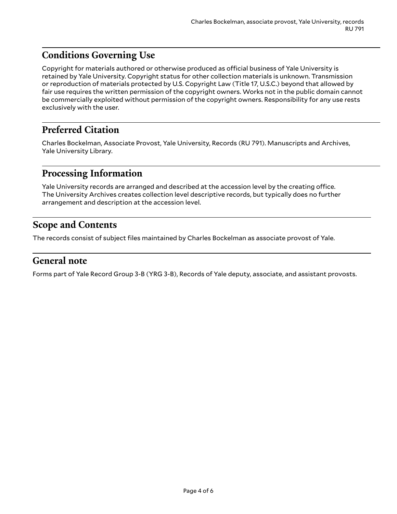# <span id="page-3-0"></span>**Conditions Governing Use**

Copyright for materials authored or otherwise produced as official business of Yale University is retained by Yale University. Copyright status for other collection materials is unknown. Transmission or reproduction of materials protected by U.S. Copyright Law (Title 17, U.S.C.) beyond that allowed by fair use requires the written permission of the copyright owners. Works not in the public domain cannot be commercially exploited without permission of the copyright owners. Responsibility for any use rests exclusively with the user.

# <span id="page-3-1"></span>**Preferred Citation**

Charles Bockelman, Associate Provost, Yale University, Records (RU 791). Manuscripts and Archives, Yale University Library.

#### <span id="page-3-2"></span>**Processing Information**

Yale University records are arranged and described at the accession level by the creating office. The University Archives creates collection level descriptive records, but typically does no further arrangement and description at the accession level.

# <span id="page-3-3"></span>**Scope and Contents**

The records consist of subject files maintained by Charles Bockelman as associate provost of Yale.

#### <span id="page-3-4"></span>**General note**

Forms part of Yale Record Group 3-B (YRG 3-B), Records of Yale deputy, associate, and assistant provosts.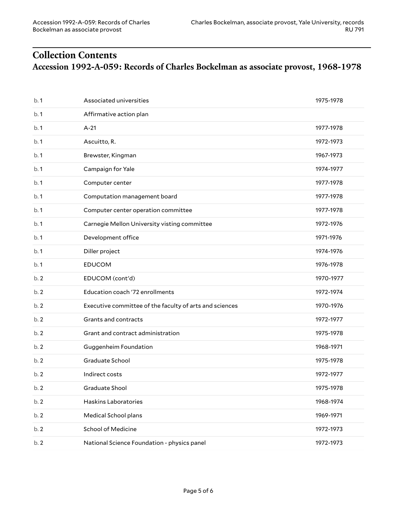# <span id="page-4-1"></span><span id="page-4-0"></span>**Collection Contents Accession 1992-A-059: Records of Charles Bockelman as associate provost, 1968-1978**

| b.1 | Associated universities                                 | 1975-1978 |
|-----|---------------------------------------------------------|-----------|
| b.1 | Affirmative action plan                                 |           |
| b.1 | $A-21$                                                  | 1977-1978 |
| b.1 | Ascuitto, R.                                            | 1972-1973 |
| b.1 | Brewster, Kingman                                       | 1967-1973 |
| b.1 | Campaign for Yale                                       | 1974-1977 |
| b.1 | Computer center                                         | 1977-1978 |
| b.1 | Computation management board                            | 1977-1978 |
| b.1 | Computer center operation committee                     | 1977-1978 |
| b.1 | Carnegie Mellon University visting committee            | 1972-1976 |
| b.1 | Development office                                      | 1971-1976 |
| b.1 | Diller project                                          | 1974-1976 |
| b.1 | <b>EDUCOM</b>                                           | 1976-1978 |
| b.2 | EDUCOM (cont'd)                                         | 1970-1977 |
| b.2 | Education coach '72 enrollments                         | 1972-1974 |
| b.2 | Executive committee of the faculty of arts and sciences | 1970-1976 |
| b.2 | Grants and contracts                                    | 1972-1977 |
| b.2 | Grant and contract administration                       | 1975-1978 |
| b.2 | Guggenheim Foundation                                   | 1968-1971 |
| b.2 | Graduate School                                         | 1975-1978 |
| b.2 | Indirect costs                                          | 1972-1977 |
| b.2 | Graduate Shool                                          | 1975-1978 |
| b.2 | <b>Haskins Laboratories</b>                             | 1968-1974 |
| b.2 | Medical School plans                                    | 1969-1971 |
| b.2 | School of Medicine                                      | 1972-1973 |
| b.2 | National Science Foundation - physics panel             | 1972-1973 |